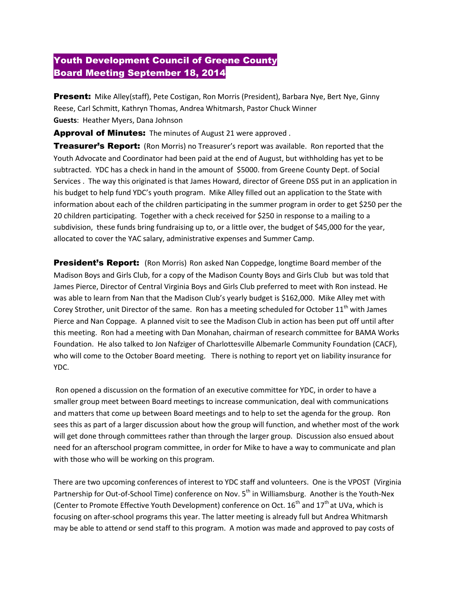## Youth Development Council of Greene County Board Meeting September 18, 2014

Present: Mike Alley(staff), Pete Costigan, Ron Morris (President), Barbara Nye, Bert Nye, Ginny Reese, Carl Schmitt, Kathryn Thomas, Andrea Whitmarsh, Pastor Chuck Winner **Guests**: Heather Myers, Dana Johnson

Approval of Minutes: The minutes of August 21 were approved.

**Treasurer's Report:** (Ron Morris) no Treasurer's report was available. Ron reported that the Youth Advocate and Coordinator had been paid at the end of August, but withholding has yet to be subtracted. YDC has a check in hand in the amount of \$5000. from Greene County Dept. of Social Services . The way this originated is that James Howard, director of Greene DSS put in an application in his budget to help fund YDC's youth program. Mike Alley filled out an application to the State with information about each of the children participating in the summer program in order to get \$250 per the 20 children participating. Together with a check received for \$250 in response to a mailing to a subdivision, these funds bring fundraising up to, or a little over, the budget of \$45,000 for the year, allocated to cover the YAC salary, administrative expenses and Summer Camp.

**President's Report:** (Ron Morris) Ron asked Nan Coppedge, longtime Board member of the Madison Boys and Girls Club, for a copy of the Madison County Boys and Girls Club but was told that James Pierce, Director of Central Virginia Boys and Girls Club preferred to meet with Ron instead. He was able to learn from Nan that the Madison Club's yearly budget is \$162,000. Mike Alley met with Corey Strother, unit Director of the same. Ron has a meeting scheduled for October 11<sup>th</sup> with James Pierce and Nan Coppage. A planned visit to see the Madison Club in action has been put off until after this meeting. Ron had a meeting with Dan Monahan, chairman of research committee for BAMA Works Foundation. He also talked to Jon Nafziger of Charlottesville Albemarle Community Foundation (CACF), who will come to the October Board meeting. There is nothing to report yet on liability insurance for YDC.

Ron opened a discussion on the formation of an executive committee for YDC, in order to have a smaller group meet between Board meetings to increase communication, deal with communications and matters that come up between Board meetings and to help to set the agenda for the group. Ron sees this as part of a larger discussion about how the group will function, and whether most of the work will get done through committees rather than through the larger group. Discussion also ensued about need for an afterschool program committee, in order for Mike to have a way to communicate and plan with those who will be working on this program.

There are two upcoming conferences of interest to YDC staff and volunteers. One is the VPOST (Virginia Partnership for Out-of-School Time) conference on Nov. 5<sup>th</sup> in Williamsburg. Another is the Youth-Nex (Center to Promote Effective Youth Development) conference on Oct.  $16^{th}$  and  $17^{th}$  at UVa, which is focusing on after-school programs this year. The latter meeting is already full but Andrea Whitmarsh may be able to attend or send staff to this program. A motion was made and approved to pay costs of